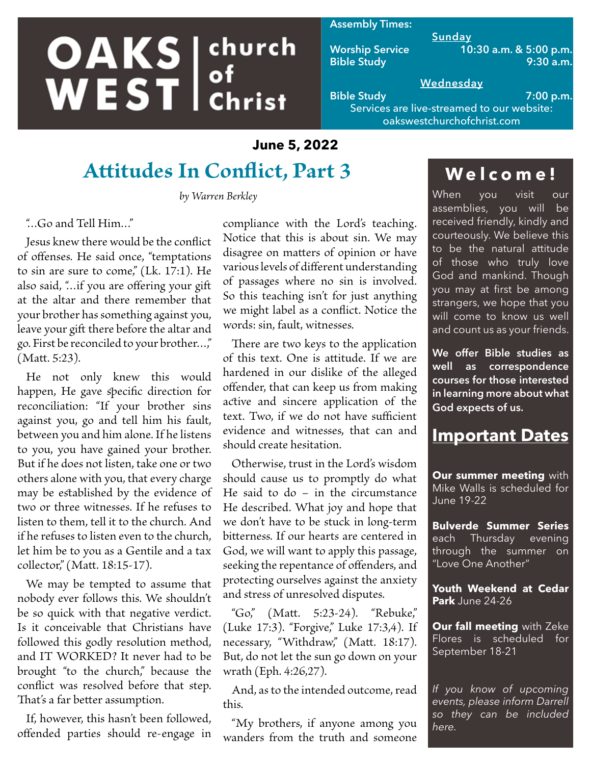# **OAKS** ehurch church

#### **Assembly Times:**

**Sunday Worship Service 10:30 a.m. & 5:00 p.m. Bible Study 9:30 a.m.**

#### **Wednesday Bible Study 7:00 p.m.**

Services are live-streamed to our website: oakswestchurchofchrist.com

### **June 5, 2022**

## **Attitudes In Conflict, Part 3**

*by Warren Berkley*

"…Go and Tell Him…"

Jesus knew there would be the conflict of offenses. He said once, "temptations to sin are sure to come," (Lk. 17:1). He also said, "…if you are offering your gift at the altar and there remember that your brother has something against you, leave your gift there before the altar and go. First be reconciled to your brother…," (Matt. 5:23).

He not only knew this would happen, He gave specific direction for reconciliation: "If your brother sins against you, go and tell him his fault, between you and him alone. If he listens to you, you have gained your brother. But if he does not listen, take one or two others alone with you, that every charge may be established by the evidence of two or three witnesses. If he refuses to listen to them, tell it to the church. And if he refuses to listen even to the church, let him be to you as a Gentile and a tax collector," (Matt. 18:15-17).

We may be tempted to assume that nobody ever follows this. We shouldn't be so quick with that negative verdict. Is it conceivable that Christians have followed this godly resolution method, and IT WORKED? It never had to be brought "to the church," because the conflict was resolved before that step. That's a far better assumption.

If, however, this hasn't been followed, offended parties should re-engage in compliance with the Lord's teaching. Notice that this is about sin. We may disagree on matters of opinion or have various levels of different understanding of passages where no sin is involved. So this teaching isn't for just anything we might label as a conflict. Notice the words: sin, fault, witnesses.

There are two keys to the application of this text. One is attitude. If we are hardened in our dislike of the alleged offender, that can keep us from making active and sincere application of the text. Two, if we do not have sufficient evidence and witnesses, that can and should create hesitation.

Otherwise, trust in the Lord's wisdom should cause us to promptly do what He said to do – in the circumstance He described. What joy and hope that we don't have to be stuck in long-term bitterness. If our hearts are centered in God, we will want to apply this passage, seeking the repentance of offenders, and protecting ourselves against the anxiety and stress of unresolved disputes.

"Go," (Matt. 5:23-24). "Rebuke," (Luke 17:3). "Forgive," Luke 17:3,4). If necessary, "Withdraw," (Matt. 18:17). But, do not let the sun go down on your wrath (Eph. 4:26,27).

And, as to the intended outcome, read this.

"My brothers, if anyone among you wanders from the truth and someone

## **Welcome!**

When you visit<u> our</u> assemblies, you will be received friendly, kindly and courteously. We believe this to be the natural attitude of those who truly love God and mankind. Though you may at first be among strangers, we hope that you will come to know us well and count us as your friends.

**We offer Bible studies as well as correspondence courses for those interested in learning more about what God expects of us.**

## **Important Dates**

**Our summer meeting** with Mike Walls is scheduled for June 19-22

**Bulverde Summer Series**  each Thursday evening through the summer on "Love One Another"

**Youth Weekend at Cedar Park** June 24-26

**Our fall meeting** with Zeke Flores is scheduled for September 18-21

*If you know of upcoming events, please inform Darrell so they can be included here.*